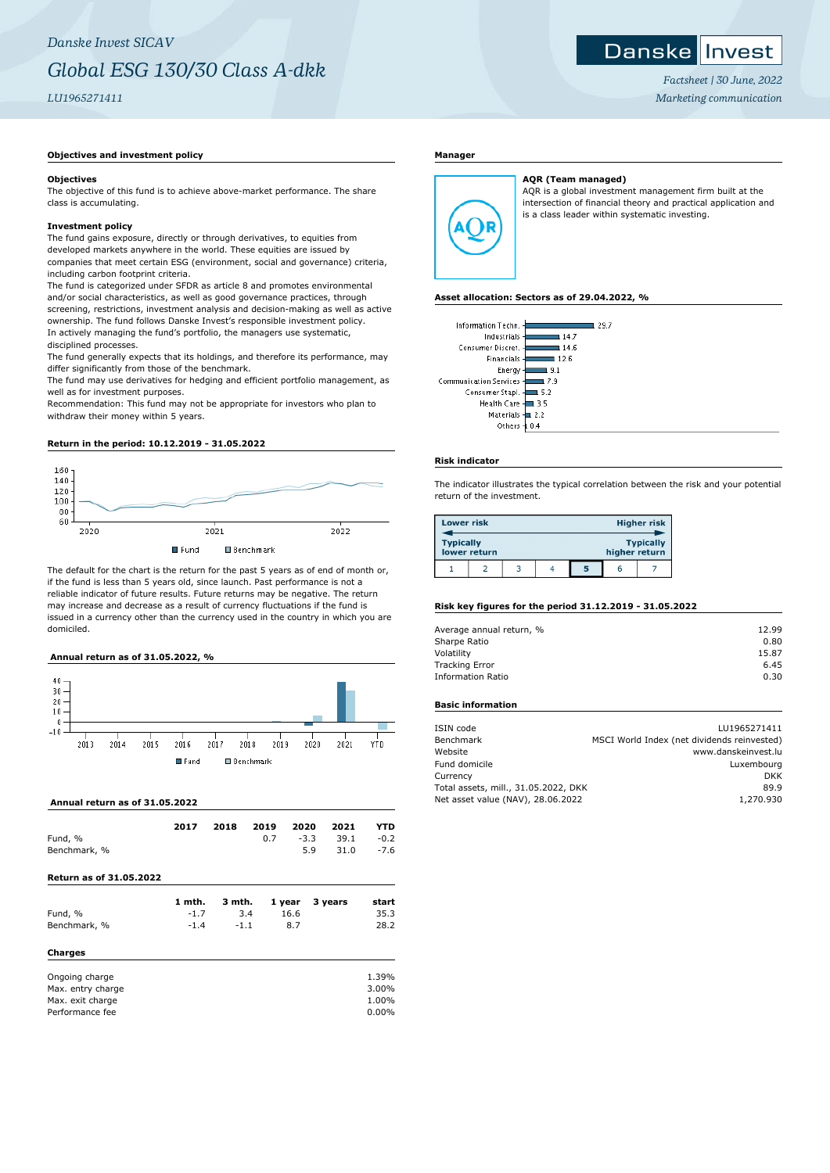#### Danske Invest

*Factsheet | 30 June, 2022 Marketing communication*

## **Objectives and investment policy**

#### **Objectives**

The objective of this fund is to achieve above-market performance. The share class is accumulating.

## **Investment policy**

The fund gains exposure, directly or through derivatives, to equities from developed markets anywhere in the world. These equities are issued by companies that meet certain ESG (environment, social and governance) criteria, including carbon footprint criteria.

The fund is categorized under SFDR as article 8 and promotes environmental and/or social characteristics, as well as good governance practices, through screening, restrictions, investment analysis and decision-making as well as active ownership. The fund follows Danske Invest's responsible investment policy. In actively managing the fund's portfolio, the managers use systematic, disciplined processes.

The fund generally expects that its holdings, and therefore its performance, may differ significantly from those of the benchmark.

The fund may use derivatives for hedging and efficient portfolio management, as well as for investment purposes.

Recommendation: This fund may not be appropriate for investors who plan to withdraw their money within 5 years.

## **Return in the period: 10.12.2019 - 31.05.2022**



The default for the chart is the return for the past 5 years as of end of month or, if the fund is less than 5 years old, since launch. Past performance is not a reliable indicator of future results. Future returns may be negative. The return may increase and decrease as a result of currency fluctuations if the fund is issued in a currency other than the currency used in the country in which you are domiciled.

## **Annual return as of 31.05.2022, %**



#### **Annual return as of 31.05.2022**

|              | 2017 | 2018 | 2019 2020 2021 |     |                               | <b>YTD</b> |
|--------------|------|------|----------------|-----|-------------------------------|------------|
| Fund, %      |      |      |                |     | $0.7 \t -3.3 \t 39.1 \t -0.2$ |            |
| Benchmark, % |      |      |                | 5.9 | 31.0 -7.6                     |            |

## **Return as of 31.05.2022**

| Fund, %           | 1 mth.<br>$-1.7$ | 3 mth.<br>3.4 | 1 year<br>16.6 | 3 years | start<br>35.3 |
|-------------------|------------------|---------------|----------------|---------|---------------|
|                   |                  |               |                |         |               |
| Benchmark, %      | $-1.4$           | $-1.1$        | 8.7            |         | 28.2          |
| Charges           |                  |               |                |         |               |
| Ongoing charge    |                  |               |                |         | 1.39%         |
| Max. entry charge |                  |               |                |         | 3.00%         |
| Max. exit charge  |                  |               |                |         | 1.00%         |
| Performance fee   |                  |               |                |         | 0.00%         |

# **Manager**



AQR is a global investment management firm built at the intersection of financial theory and practical application and is a class leader within systematic investing.

#### **Asset allocation: Sectors as of 29.04.2022, %**

| Information Techn.       | 29.7 |
|--------------------------|------|
| Industrials -            | 14.7 |
| Consumer Discret.        | 14.6 |
| Financials -             | 12.6 |
| Energy-                  | 9.1  |
| Communication Services 4 | 7.9  |
| Consumer Stapl. -        | 5.2  |
| Health Care -            | 3.5  |
| Materials - 2.2          |      |
| Others                   |      |

**AQR (Team managed)**

## **Risk indicator**

The indicator illustrates the typical correlation between the risk and your potential return of the investment.

| <b>Lower risk</b>                |  |  |  |   |               | <b>Higher risk</b> |
|----------------------------------|--|--|--|---|---------------|--------------------|
| <b>Typically</b><br>lower return |  |  |  |   | higher return | <b>Typically</b>   |
|                                  |  |  |  | 5 | n             |                    |

# **Risk key figures for the period 31.12.2019 - 31.05.2022**

| 12.99 |
|-------|
| 0.80  |
| 15.87 |
| 6.45  |
| 0.30  |
|       |

# **Basic information**

| ISIN code                            | LU1965271411                                |
|--------------------------------------|---------------------------------------------|
| Benchmark                            | MSCI World Index (net dividends reinvested) |
| Website                              | www.danskeinvest.lu                         |
| Fund domicile                        | Luxembourg                                  |
| Currency                             | DKK                                         |
| Total assets, mill., 31.05.2022, DKK | 89.9                                        |
| Net asset value (NAV), 28.06.2022    | 1,270.930                                   |